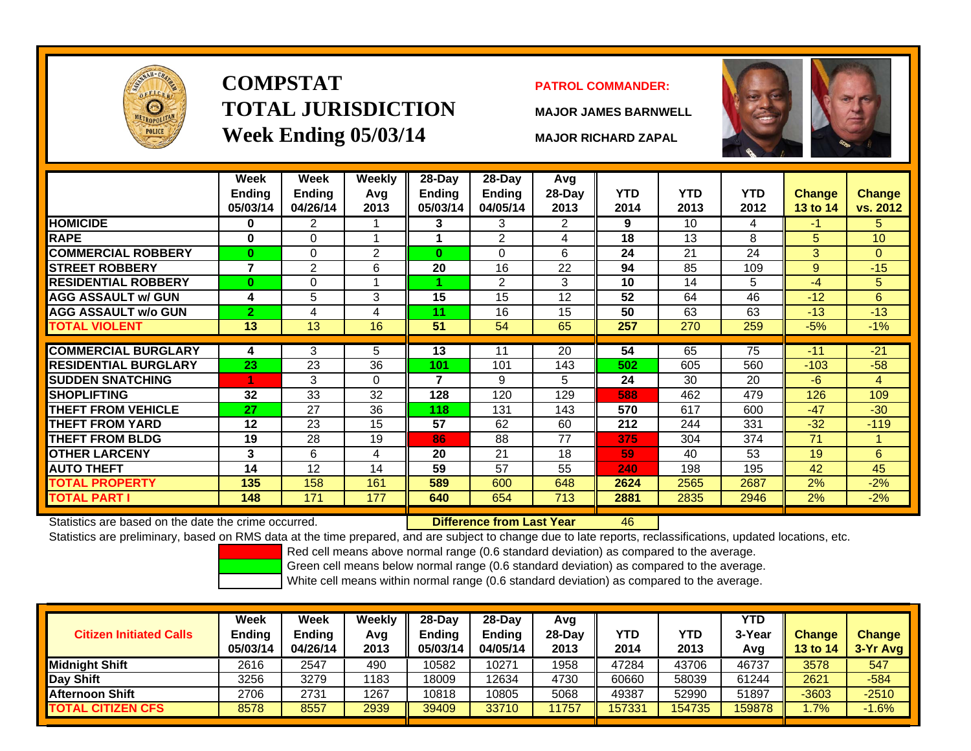

# **COMPSTATTOTAL JURISDICTIONWeek Ending 05/03/14 MAJOR RICHARD ZAPAL**

#### **PATROL COMMANDER:**

**MAJOR JAMES BARNWELL**

46



|                             | Week<br><b>Ending</b><br>05/03/14 | Week<br><b>Ending</b><br>04/26/14 | Weekly<br>Avg<br>2013 | $28-Day$<br><b>Ending</b><br>05/03/14 | $28-Day$<br><b>Ending</b><br>04/05/14 | Avg<br>28-Day<br>2013 | <b>YTD</b><br>2014 | <b>YTD</b><br>2013 | <b>YTD</b><br>2012 | <b>Change</b><br><b>13 to 14</b> | Change<br>vs. 2012 |
|-----------------------------|-----------------------------------|-----------------------------------|-----------------------|---------------------------------------|---------------------------------------|-----------------------|--------------------|--------------------|--------------------|----------------------------------|--------------------|
| <b>HOMICIDE</b>             | 0                                 | 2                                 | 1                     | 3.                                    | 3                                     | 2                     | 9                  | 10 <sup>1</sup>    | 4                  | -1                               | 5.                 |
| <b>RAPE</b>                 | 0                                 | 0                                 | 1                     |                                       | 2                                     | 4                     | 18                 | 13                 | 8                  | 5                                | 10                 |
| <b>COMMERCIAL ROBBERY</b>   | $\bf{0}$                          | 0                                 | 2                     | $\bf{0}$                              | 0                                     | 6                     | 24                 | 21                 | 24                 | 3                                | $\overline{0}$     |
| <b>STREET ROBBERY</b>       | $\overline{7}$                    | $\overline{2}$                    | 6                     | 20                                    | 16                                    | 22                    | 94                 | 85                 | 109                | 9                                | $-15$              |
| <b>RESIDENTIAL ROBBERY</b>  | $\bf{0}$                          | 0                                 | 4                     |                                       | $\overline{2}$                        | 3                     | 10                 | 14                 | 5                  | $-4$                             | 5                  |
| <b>AGG ASSAULT w/ GUN</b>   | 4                                 | 5                                 | 3                     | 15                                    | 15                                    | 12                    | 52                 | 64                 | 46                 | $-12$                            | 6                  |
| <b>AGG ASSAULT w/o GUN</b>  | $\overline{2}$                    | 4                                 | 4                     | 11                                    | 16                                    | 15                    | 50                 | 63                 | 63                 | $-13$                            | $-13$              |
| <b>TOTAL VIOLENT</b>        | 13                                | 13                                | 16                    | 51                                    | 54                                    | 65                    | 257                | 270                | 259                | $-5%$                            | $-1%$              |
| <b>COMMERCIAL BURGLARY</b>  | 4                                 | 3                                 | 5                     | 13                                    | 11                                    | 20                    | 54                 | 65                 | 75                 | $-11$                            | $-21$              |
| <b>RESIDENTIAL BURGLARY</b> | 23                                | 23                                | 36                    | 101                                   | 101                                   | 143                   | 502                | 605                | 560                | $-103$                           | $-58$              |
|                             |                                   |                                   |                       | 7                                     |                                       |                       |                    | 30                 | 20                 | $-6$                             |                    |
| <b>SUDDEN SNATCHING</b>     |                                   | 3                                 | $\Omega$              |                                       | 9                                     | 5                     | 24                 |                    |                    |                                  | $\overline{4}$     |
| <b>SHOPLIFTING</b>          | 32                                | 33                                | 32                    | 128                                   | 120                                   | 129                   | 588                | 462                | 479                | 126                              | 109                |
| <b>THEFT FROM VEHICLE</b>   | 27                                | 27                                | 36                    | 118                                   | 131                                   | 143                   | 570                | 617                | 600                | $-47$                            | $-30$              |
| <b>THEFT FROM YARD</b>      | 12                                | 23                                | 15                    | 57                                    | 62                                    | 60                    | 212                | 244                | 331                | $-32$                            | $-119$             |
| <b>THEFT FROM BLDG</b>      | 19                                | 28                                | 19                    | 86                                    | 88                                    | 77                    | 375                | 304                | 374                | 71                               |                    |
| <b>OTHER LARCENY</b>        | 3                                 | 6                                 | 4                     | 20                                    | 21                                    | 18                    | 59                 | 40                 | 53                 | 19                               | 6                  |
| <b>AUTO THEFT</b>           | 14                                | 12                                | 14                    | 59                                    | 57                                    | 55                    | 240                | 198                | 195                | 42                               | 45                 |
| TOTAL PROPERTY              | 135                               | 158                               | 161                   | 589                                   | 600                                   | 648                   | 2624               | 2565               | 2687               | 2%                               | $-2%$              |
| TOTAL PART I                | 148                               | 171                               | 177                   | 640                                   | 654                                   | 713                   | 2881               | 2835               | 2946               | 2%                               | $-2%$              |

Statistics are based on the date the crime occurred. **Difference from Last Year** 

Statistics are preliminary, based on RMS data at the time prepared, and are subject to change due to late reports, reclassifications, updated locations, etc.

Red cell means above normal range (0.6 standard deviation) as compared to the average.

Green cell means below normal range (0.6 standard deviation) as compared to the average.

| <b>Citizen Initiated Calls</b> | Week<br><b>Ending</b><br>05/03/14 | Week<br><b>Ending</b><br>04/26/14 | Weekly<br>Avg<br>2013 | $28-Dav$<br>Ending<br>05/03/14 | $28-Day$<br><b>Ending</b><br>04/05/14 | Avg<br>28-Dav<br>2013 | YTD<br>2014 | YTD<br>2013 | <b>YTD</b><br>3-Year<br>Avg | <b>Change</b><br><b>13 to 14</b> | <b>Change</b><br>3-Yr Avg |
|--------------------------------|-----------------------------------|-----------------------------------|-----------------------|--------------------------------|---------------------------------------|-----------------------|-------------|-------------|-----------------------------|----------------------------------|---------------------------|
| <b>Midnight Shift</b>          | 2616                              | 2547                              | 490                   | 10582                          | 10271                                 | 1958                  | 47284       | 43706       | 46737                       | 3578                             | 547                       |
| Day Shift                      | 3256                              | 3279                              | 1183                  | 18009                          | 12634                                 | 4730                  | 60660       | 58039       | 61244                       | 2621                             | $-584$                    |
| <b>Afternoon Shift</b>         | 2706                              | 2731                              | 1267                  | 10818                          | 10805                                 | 5068                  | 49387       | 52990       | 51897                       | $-3603$                          | $-2510$                   |
| <b>TOTAL CITIZEN CFS</b>       | 8578                              | 8557                              | 2939                  | 39409                          | 33710                                 | 1757                  | 157331      | 154735      | 159878                      | 1.7%                             | $-1.6%$                   |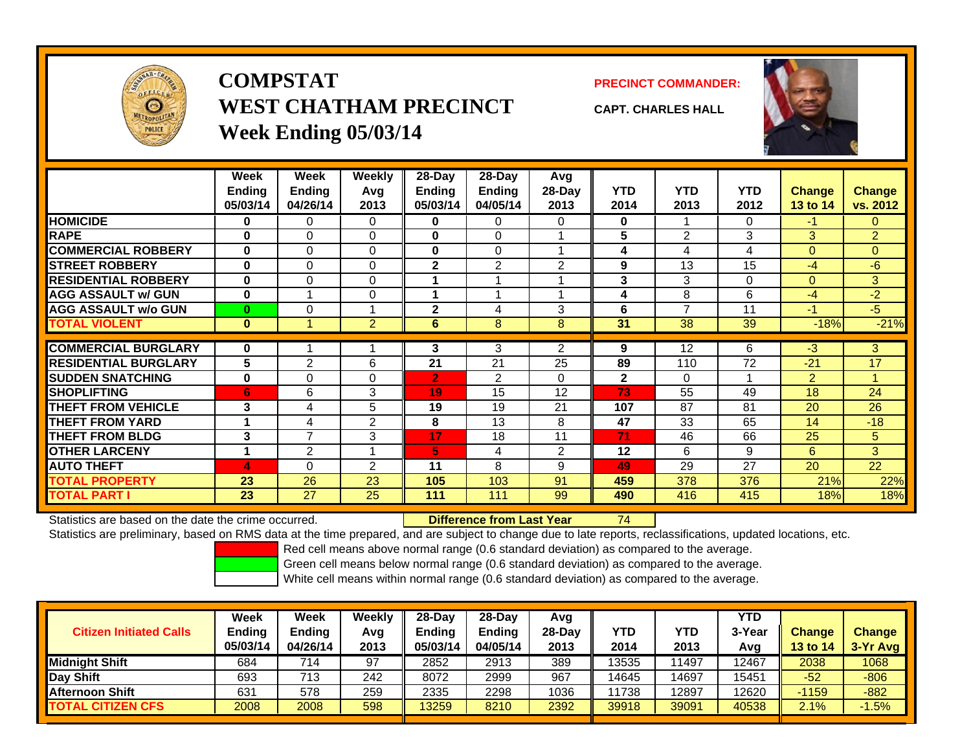

## **COMPSTATWEST CHATHAM PRECINCTWeek Ending 05/03/14**

**PRECINCT COMMANDER:**



**CAPT. CHARLES HALL**

|                             | Week<br><b>Ending</b><br>05/03/14 | Week<br><b>Ending</b><br>04/26/14 | Weekly<br>Avg<br>2013 | $28 - Day$<br><b>Ending</b><br>05/03/14 | $28$ -Day<br><b>Ending</b><br>04/05/14 | Avg<br>$28-Day$<br>2013 | <b>YTD</b><br>2014 | YTD<br>2013              | <b>YTD</b><br>2012 | <b>Change</b><br>13 to 14 | <b>Change</b><br>vs. 2012 |
|-----------------------------|-----------------------------------|-----------------------------------|-----------------------|-----------------------------------------|----------------------------------------|-------------------------|--------------------|--------------------------|--------------------|---------------------------|---------------------------|
| <b>HOMICIDE</b>             | 0                                 | 0                                 | 0                     | $\bf{0}$                                | 0                                      | 0                       | 0                  |                          | 0                  | -1                        | $\Omega$                  |
| <b>RAPE</b>                 | $\bf{0}$                          | $\Omega$                          | 0                     | 0                                       | 0                                      |                         | 5                  | $\overline{2}$           | 3                  | $\mathbf{3}$              | $\overline{2}$            |
| <b>COMMERCIAL ROBBERY</b>   | $\mathbf 0$                       | 0                                 | 0                     | $\bf{0}$                                | 0                                      | 4                       | 4                  | 4                        | 4                  | $\overline{0}$            | $\Omega$                  |
| <b>STREET ROBBERY</b>       | $\bf{0}$                          | $\Omega$                          | 0                     | $\mathbf{2}$                            | 2                                      | 2                       | 9                  | 13                       | 15                 | -4                        | $-6$                      |
| <b>RESIDENTIAL ROBBERY</b>  | 0                                 | 0                                 | 0                     | 1                                       |                                        | и                       | 3                  | 3                        | 0                  | $\mathbf 0$               | 3 <sup>1</sup>            |
| <b>AGG ASSAULT w/ GUN</b>   | $\bf{0}$                          | $\overline{ }$                    | 0                     | 1                                       |                                        | 1                       | 4                  | 8                        | 6                  | -4                        | $-2$                      |
| <b>AGG ASSAULT w/o GUN</b>  | $\bf{0}$                          | 0                                 |                       | $\mathbf{2}$                            | 4                                      | 3                       | 6                  | $\overline{\phantom{a}}$ | 11                 | $-1$                      | $-5$                      |
| TOTAL VIOLENT               | $\bf{0}$                          |                                   | $\overline{2}$        | 6                                       | 8                                      | 8                       | 31                 | 38                       | 39                 | $-18%$                    | $-21%$                    |
|                             |                                   |                                   |                       |                                         |                                        |                         |                    |                          |                    |                           |                           |
| <b>COMMERCIAL BURGLARY</b>  | 0                                 |                                   |                       | 3                                       | 3                                      | 2                       | 9                  | 12                       | 6                  | -3                        | 3                         |
| <b>RESIDENTIAL BURGLARY</b> | 5                                 | $\overline{2}$                    | 6                     | 21                                      | 21                                     | 25                      | 89                 | 110                      | 72                 | $-21$                     | 17                        |
| <b>SUDDEN SNATCHING</b>     | $\bf{0}$                          | $\Omega$                          | 0                     | $\overline{2}$                          | 2                                      | $\Omega$                | $\mathbf{2}$       | $\Omega$                 |                    | 2                         | 4                         |
| <b>SHOPLIFTING</b>          | 6                                 | 6                                 | 3                     | 19                                      | 15                                     | 12                      | 73                 | 55                       | 49                 | 18                        | 24                        |
| <b>THEFT FROM VEHICLE</b>   | 3                                 | 4                                 | 5                     | 19                                      | 19                                     | 21                      | 107                | 87                       | 81                 | 20                        | 26                        |
| <b>THEFT FROM YARD</b>      |                                   | 4                                 | 2                     | 8                                       | 13                                     | 8                       | 47                 | 33                       | 65                 | 14                        | $-18$                     |
| <b>THEFT FROM BLDG</b>      | 3                                 | $\overline{7}$                    | 3                     | 17                                      | 18                                     | 11                      | 71                 | 46                       | 66                 | 25                        | 5                         |
| <b>OTHER LARCENY</b>        | 4                                 | $\mathfrak{p}$                    |                       | 5                                       | 4                                      | 2                       | $12 \,$            | 6                        | 9                  | 6                         | 3 <sup>1</sup>            |
| <b>AUTO THEFT</b>           | 4                                 | 0                                 | $\overline{2}$        | 11                                      | 8                                      | 9                       | 49                 | 29                       | 27                 | 20                        | 22                        |
| <b>TOTAL PROPERTY</b>       | 23                                | 26                                | 23                    | 105                                     | 103                                    | 91                      | 459                | 378                      | 376                | 21%                       | 22%                       |
| TOTAL PART I                | 23                                | 27                                | 25                    | 111                                     | 111                                    | 99                      | 490                | 416                      | 415                | 18%                       | 18%                       |

Statistics are based on the date the crime occurred. **Difference from Last Year** 

74

Statistics are preliminary, based on RMS data at the time prepared, and are subject to change due to late reports, reclassifications, updated locations, etc.

Red cell means above normal range (0.6 standard deviation) as compared to the average.

Green cell means below normal range (0.6 standard deviation) as compared to the average.

| <b>Citizen Initiated Calls</b> | Week<br><b>Ending</b><br>05/03/14 | Week<br><b>Ending</b><br>04/26/14 | Weekly<br>Avg<br>2013 | $28-Day$<br>Ending<br>05/03/14 | 28-Dav<br><b>Ending</b><br>04/05/14 | Avg<br>28-Day<br>2013 | YTD<br>2014 | YTD<br>2013 | YTD<br>3-Year<br>Avg | <b>Change</b><br><b>13 to 14</b> | <b>Change</b><br>3-Yr Avg |
|--------------------------------|-----------------------------------|-----------------------------------|-----------------------|--------------------------------|-------------------------------------|-----------------------|-------------|-------------|----------------------|----------------------------------|---------------------------|
| <b>Midnight Shift</b>          | 684                               | 714                               | 97                    | 2852                           | 2913                                | 389                   | 13535       | 11497       | 12467                | 2038                             | 1068                      |
| Day Shift                      | 693                               | 713                               | 242                   | 8072                           | 2999                                | 967                   | 14645       | 14697       | 15451                | $-52$                            | $-806$                    |
| <b>Afternoon Shift</b>         | 631                               | 578                               | 259                   | 2335                           | 2298                                | 1036                  | 1738        | 2897        | 12620                | $-1159$                          | $-882$                    |
| <b>TOTAL CITIZEN CFS</b>       | 2008                              | 2008                              | 598                   | 13259                          | 8210                                | 2392                  | 39918       | 39091       | 40538                | 2.1%                             | $-1.5%$                   |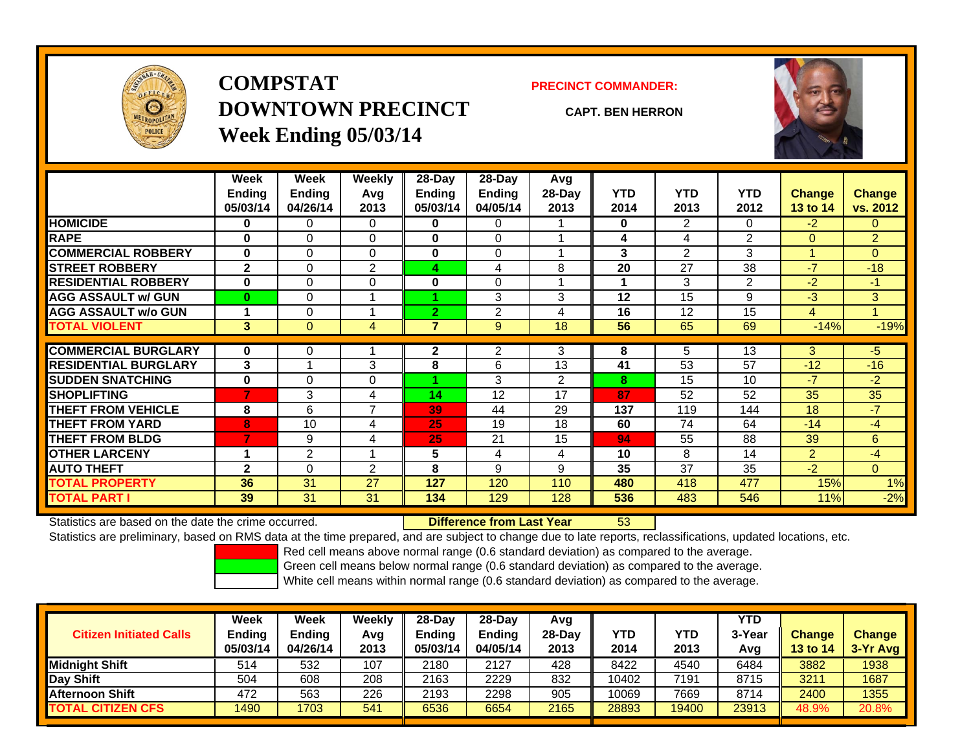

## **COMPSTATDOWNTOWN PRECINCTWeek Ending 05/03/14**

**PRECINCT COMMANDER:**

**CAPT. BEN HERRON**



|                             | Week<br><b>Ending</b><br>05/03/14 | Week<br><b>Ending</b><br>04/26/14 | Weekly<br>Avg<br>2013 | 28-Day<br><b>Ending</b><br>05/03/14 | $28-Day$<br><b>Ending</b><br>04/05/14 | Avg<br>28-Day<br>2013 | <b>YTD</b><br>2014 | <b>YTD</b><br>2013 | <b>YTD</b><br>2012 | <b>Change</b><br>13 to 14 | Change<br>vs. 2012 |
|-----------------------------|-----------------------------------|-----------------------------------|-----------------------|-------------------------------------|---------------------------------------|-----------------------|--------------------|--------------------|--------------------|---------------------------|--------------------|
| <b>HOMICIDE</b>             | 0                                 | 0                                 | 0                     | 0                                   | 0                                     |                       | 0                  | 2                  | 0                  | $-2$                      | 0                  |
| <b>RAPE</b>                 | $\bf{0}$                          | $\Omega$                          | $\Omega$              | $\bf{0}$                            | 0                                     |                       | 4                  | 4                  | $\overline{2}$     | $\Omega$                  | $\overline{2}$     |
| <b>COMMERCIAL ROBBERY</b>   | $\bf{0}$                          | 0                                 | 0                     | 0                                   | 0                                     |                       | 3                  | 2                  | 3                  | и                         | $\Omega$           |
| <b>STREET ROBBERY</b>       | $\mathbf{2}$                      | 0                                 | $\overline{2}$        | 4                                   | 4                                     | 8                     | 20                 | 27                 | 38                 | $-7$                      | $-18$              |
| <b>RESIDENTIAL ROBBERY</b>  | $\bf{0}$                          | 0                                 | $\Omega$              | 0                                   | 0                                     |                       |                    | 3                  | $\overline{2}$     | -2                        | $-1$               |
| <b>AGG ASSAULT w/ GUN</b>   | $\bf{0}$                          | 0                                 |                       |                                     | 3                                     | 3                     | 12                 | 15                 | 9                  | -3                        | 3                  |
| <b>AGG ASSAULT w/o GUN</b>  |                                   | 0                                 |                       | $\overline{2}$                      | 2                                     | 4                     | 16                 | 12                 | 15                 | 4                         |                    |
| <b>TOTAL VIOLENT</b>        | 3                                 | $\Omega$                          | 4                     | $\overline{\mathbf{r}}$             | 9                                     | 18                    | 56                 | 65                 | 69                 | $-14%$                    | $-19%$             |
|                             |                                   |                                   |                       |                                     |                                       |                       |                    |                    |                    |                           |                    |
| <b>COMMERCIAL BURGLARY</b>  | $\bf{0}$                          | 0                                 |                       | 2                                   | $\overline{2}$                        | 3                     | 8                  | 5                  | 13                 | 3 <sup>°</sup>            | $-5$               |
| <b>RESIDENTIAL BURGLARY</b> | 3                                 |                                   | 3                     | 8                                   | 6                                     | 13                    | 41                 | 53                 | 57                 | $-12$                     | $-16$              |
| <b>SUDDEN SNATCHING</b>     | $\bf{0}$                          | 0                                 | $\Omega$              |                                     | 3                                     | 2                     | 8                  | 15                 | 10                 | $-7$                      | $-2$               |
| <b>SHOPLIFTING</b>          | $\overline{7}$                    | 3                                 | 4                     | 14                                  | 12                                    | 17                    | 87                 | 52                 | 52                 | 35                        | 35                 |
| <b>THEFT FROM VEHICLE</b>   | 8                                 | 6                                 | ⇁                     | 39                                  | 44                                    | 29                    | 137                | 119                | 144                | 18                        | $-7$               |
| <b>THEFT FROM YARD</b>      | 8                                 | 10                                | 4                     | 25                                  | 19                                    | 18                    | 60                 | 74                 | 64                 | $-14$                     | $-4$               |
| <b>THEFT FROM BLDG</b>      | 7                                 | 9                                 | 4                     | 25                                  | 21                                    | 15                    | 94                 | 55                 | 88                 | 39                        | 6                  |
| <b>OTHER LARCENY</b>        | 4                                 | $\overline{2}$                    | $\overline{A}$        | 5                                   | 4                                     | 4                     | 10                 | 8                  | 14                 | 2                         | $-4$               |
| <b>AUTO THEFT</b>           | $\mathbf{2}$                      | 0                                 | $\overline{2}$        | 8                                   | 9                                     | 9                     | 35                 | 37                 | 35                 | $-2$                      | $\overline{0}$     |
| <b>TOTAL PROPERTY</b>       | 36                                | 31                                | 27                    | 127                                 | 120                                   | 110                   | 480                | 418                | 477                | 15%                       | 1%                 |
| <b>TOTAL PART I</b>         | 39                                | 31                                | 31                    | 134                                 | 129                                   | 128                   | 536                | 483                | 546                | 11%                       | $-2%$              |

Statistics are based on the date the crime occurred. **Difference from Last Year** 

53

Statistics are preliminary, based on RMS data at the time prepared, and are subject to change due to late reports, reclassifications, updated locations, etc.

Red cell means above normal range (0.6 standard deviation) as compared to the average.

Green cell means below normal range (0.6 standard deviation) as compared to the average.

| <b>Citizen Initiated Calls</b> | Week<br><b>Ending</b><br>05/03/14 | Week<br><b>Ending</b><br>04/26/14 | Weekly<br>Avg<br>2013 | $28-Dav$<br>Ending<br>05/03/14 | 28-Dav<br><b>Ending</b><br>04/05/14 | Avg<br>28-Dav<br>2013 | YTD<br>2014 | YTD<br>2013 | YTD<br>3-Year<br>Avg | <b>Change</b><br>13 to 14 | <b>Change</b><br>3-Yr Avg |
|--------------------------------|-----------------------------------|-----------------------------------|-----------------------|--------------------------------|-------------------------------------|-----------------------|-------------|-------------|----------------------|---------------------------|---------------------------|
| <b>Midnight Shift</b>          | 514                               | 532                               | 107                   | 2180                           | 2127                                | 428                   | 8422        | 4540        | 6484                 | 3882                      | 1938                      |
| Day Shift                      | 504                               | 608                               | 208                   | 2163                           | 2229                                | 832                   | 10402       | 7191        | 8715                 | 3211                      | 1687                      |
| <b>Afternoon Shift</b>         | 472                               | 563                               | 226                   | 2193                           | 2298                                | 905                   | 10069       | 7669        | 8714                 | 2400                      | 1355                      |
| <b>TOTAL CITIZEN CFS</b>       | 1490                              | 1703                              | 541                   | 6536                           | 6654                                | 2165                  | 28893       | 19400       | 23913                | 48.9%                     | 20.8%                     |

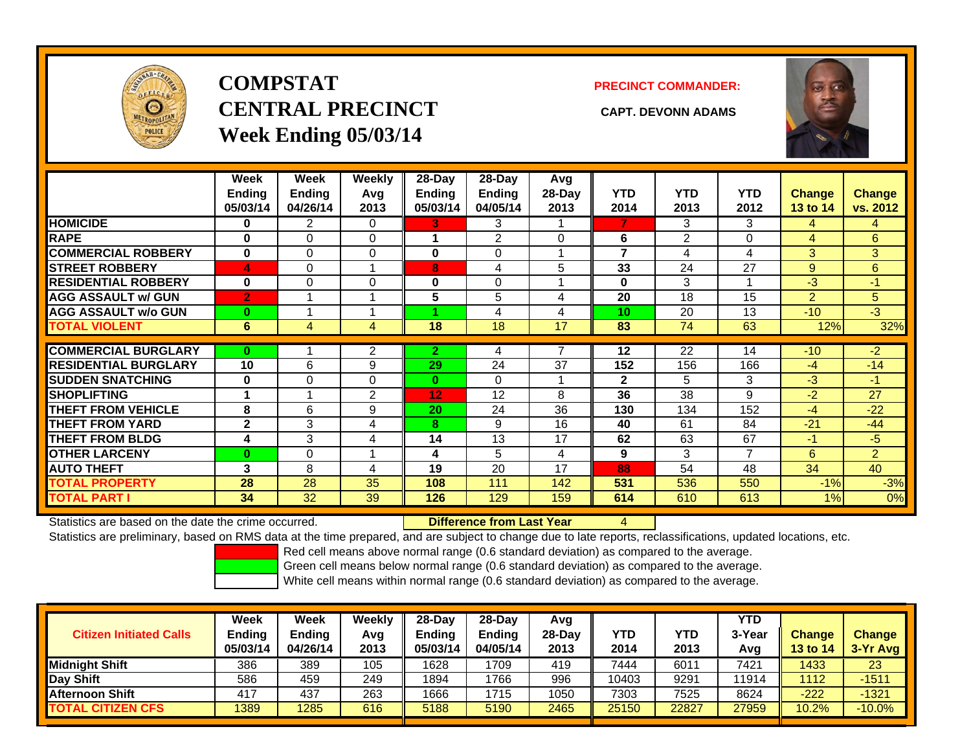

## **COMPSTATCENTRAL PRECINCT CAPT. DEVONN ADAMSWeek Ending 05/03/14**

**PRECINCT COMMANDER:**



|                             | Week           | Week           | Weekly         | 28-Day         | $28-Day$       | Avg      |              |            |                |               |                |
|-----------------------------|----------------|----------------|----------------|----------------|----------------|----------|--------------|------------|----------------|---------------|----------------|
|                             | Ending         | <b>Ending</b>  | Avg            | <b>Ending</b>  | <b>Ending</b>  | 28-Day   | <b>YTD</b>   | <b>YTD</b> | <b>YTD</b>     | <b>Change</b> | <b>Change</b>  |
|                             | 05/03/14       | 04/26/14       | 2013           | 05/03/14       | 04/05/14       | 2013     | 2014         | 2013       | 2012           | 13 to 14      | vs. 2012       |
| <b>HOMICIDE</b>             | 0              | $\overline{2}$ | $\Omega$       | 3.             | 3              |          | 7            | 3          | 3              | 4             | 4              |
| <b>RAPE</b>                 | $\bf{0}$       | 0              | $\mathbf 0$    |                | $\overline{2}$ | $\Omega$ | 6            | 2          | 0              | 4             | 6              |
| <b>COMMERCIAL ROBBERY</b>   | $\bf{0}$       | 0              | $\Omega$       | 0              | 0              |          | 7            | 4          | 4              | 3             | 3              |
| <b>STREET ROBBERY</b>       | 4              | 0              |                | 8              | 4              | 5        | 33           | 24         | 27             | 9             | 6              |
| <b>RESIDENTIAL ROBBERY</b>  | $\bf{0}$       | $\Omega$       | 0              | $\bf{0}$       | 0              |          | 0            | 3          |                | $-3$          | $-1$           |
| <b>AGG ASSAULT w/ GUN</b>   | $\overline{2}$ |                |                | 5              | 5              | 4        | 20           | 18         | 15             | 2             | 5              |
| <b>AGG ASSAULT w/o GUN</b>  | $\bf{0}$       |                |                |                | 4              | 4        | 10           | 20         | 13             | $-10$         | $-3$           |
| <b>TOTAL VIOLENT</b>        | 6              | 4              | 4              | 18             | 18             | 17       | 83           | 74         | 63             | 12%           | 32%            |
|                             |                |                |                |                |                |          |              |            |                |               |                |
|                             |                |                |                |                |                | 7        |              |            |                |               |                |
| <b>COMMERCIAL BURGLARY</b>  | $\bf{0}$       |                | 2              | $\overline{2}$ | 4              |          | 12           | 22         | 14             | $-10$         | $-2$           |
| <b>RESIDENTIAL BURGLARY</b> | 10             | 6              | 9              | 29             | 24             | 37       | 152          | 156        | 166            | $-4$          | $-14$          |
| <b>SUDDEN SNATCHING</b>     | $\bf{0}$       | 0              | 0              | $\bf{0}$       | $\Omega$       |          | $\mathbf{2}$ | 5          | 3              | $-3$          | $-1$           |
| <b>SHOPLIFTING</b>          |                |                | $\overline{2}$ | 12             | 12             | 8        | 36           | 38         | 9              | $-2$          | 27             |
| <b>THEFT FROM VEHICLE</b>   | 8              | 6              | 9              | 20             | 24             | 36       | 130          | 134        | 152            | $-4$          | $-22$          |
| <b>THEFT FROM YARD</b>      | $\mathbf{2}$   | 3              | 4              | 8              | 9              | 16       | 40           | 61         | 84             | $-21$         | $-44$          |
| <b>THEFT FROM BLDG</b>      | 4              | 3              | 4              | 14             | 13             | 17       | 62           | 63         | 67             | $-1$          | $-5$           |
| <b>OTHER LARCENY</b>        | $\bf{0}$       | 0              |                | 4              | 5              | 4        | 9            | 3          | $\overline{7}$ | 6             | $\overline{2}$ |
| <b>AUTO THEFT</b>           | 3              | 8              | 4              | 19             | 20             | 17       | 88           | 54         | 48             | 34            | 40             |
| <b>TOTAL PROPERTY</b>       | 28             | 28             | 35             | 108            | 111            | 142      | 531          | 536        | 550            | $-1%$         | $-3%$          |

Statistics are based on the date the crime occurred. **Difference from Last Year** 

4

Statistics are preliminary, based on RMS data at the time prepared, and are subject to change due to late reports, reclassifications, updated locations, etc.

Red cell means above normal range (0.6 standard deviation) as compared to the average.

Green cell means below normal range (0.6 standard deviation) as compared to the average.

| <b>Citizen Initiated Calls</b> | Week<br><b>Ending</b><br>05/03/14 | <b>Week</b><br><b>Ending</b><br>04/26/14 | Weekly<br>Avg<br>2013 | 28-Day<br>Ending<br>05/03/14 | 28-Dav<br><b>Ending</b><br>04/05/14 | Avg<br>28-Dav<br>2013 | YTD<br>2014 | YTD<br>2013 | YTD<br>3-Yea<br>Avg | <b>Change</b><br><b>13 to 14</b> | <b>Change</b><br>3-Yr Avg |
|--------------------------------|-----------------------------------|------------------------------------------|-----------------------|------------------------------|-------------------------------------|-----------------------|-------------|-------------|---------------------|----------------------------------|---------------------------|
| Midniaht Shift                 | 386                               | 389                                      | 105                   | 1628                         | 1709                                | 419                   | 7444        | 6011        | 7421                | 1433                             | 23                        |
| Day Shift                      | 586                               | 459                                      | 249                   | 1894                         | 1766                                | 996                   | 10403       | 9291        | 11914               | 1112                             | $-1511$                   |
| <b>Afternoon Shift</b>         | 417                               | 437                                      | 263                   | 1666                         | 1715                                | 1050                  | 7303        | 7525        | 8624                | $-222$                           | $-1321$                   |
| <b>TOTAL CITIZEN CFS</b>       | 1389                              | 1285                                     | 616                   | 5188                         | 5190                                | 2465                  | 25150       | 22827       | 27959               | 10.2%                            | $-10.0\%$                 |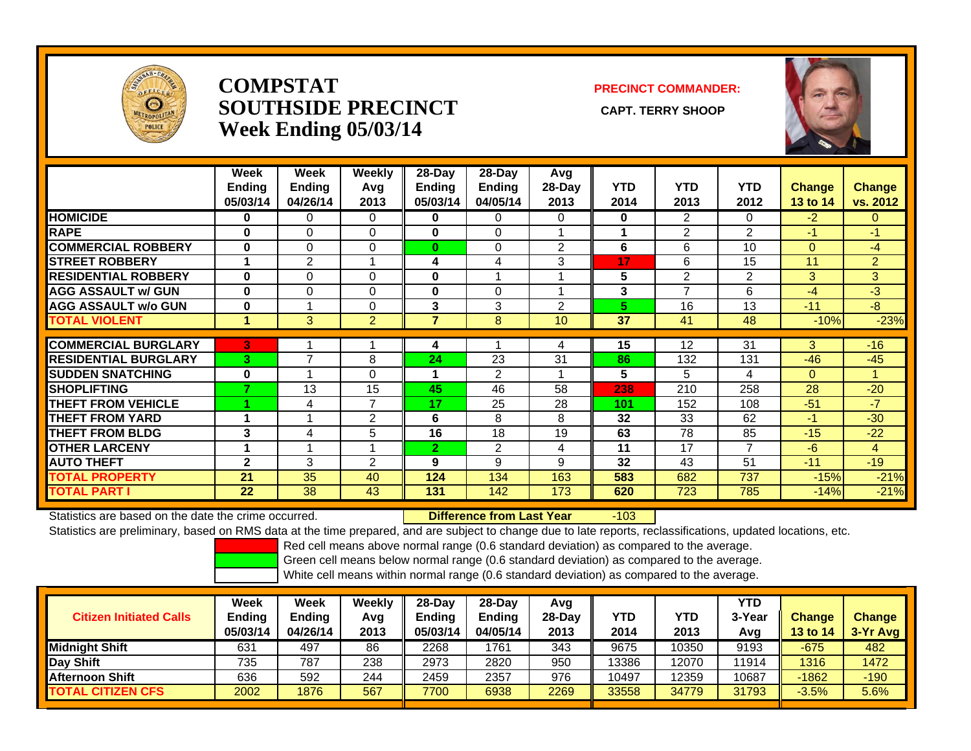

#### **COMPSTATSOUTHSIDE PRECINCT** CAPT. TERRY SHOOP **Week Ending 05/03/14**

#### **PRECINCT COMMANDER:**



|                             | Week<br><b>Ending</b><br>05/03/14 | Week<br><b>Ending</b><br>04/26/14 | Weekly<br>Avg<br>2013 | 28-Day<br><b>Ending</b><br>05/03/14 | 28-Day<br><b>Ending</b><br>04/05/14 | Avg<br>28-Day<br>2013 | <b>YTD</b><br>2014 | <b>YTD</b><br>2013 | <b>YTD</b><br>2012 | <b>Change</b><br>13 to 14 | <b>Change</b><br>vs. 2012 |
|-----------------------------|-----------------------------------|-----------------------------------|-----------------------|-------------------------------------|-------------------------------------|-----------------------|--------------------|--------------------|--------------------|---------------------------|---------------------------|
| <b>HOMICIDE</b>             | $\bf{0}$                          | $\mathbf{0}$                      | 0                     | $\bf{0}$                            | $\Omega$                            | $\Omega$              | 0                  | $\overline{2}$     | 0                  | $-2$                      | $\mathbf{0}$              |
| <b>RAPE</b>                 | $\bf{0}$                          | $\Omega$                          | $\Omega$              | $\bf{0}$                            | $\Omega$                            |                       | 1                  | $\overline{2}$     | $\overline{2}$     | -1                        | $-1$                      |
| <b>COMMERCIAL ROBBERY</b>   | $\bf{0}$                          | 0                                 | 0                     | $\bf{0}$                            | 0                                   | 2                     | 6                  | 6                  | 10                 | $\mathbf{0}$              | -4                        |
| <b>STREET ROBBERY</b>       |                                   | 2                                 |                       | 4                                   | 4                                   | 3                     | 17                 | 6                  | 15                 | 11                        | $\overline{2}$            |
| <b>RESIDENTIAL ROBBERY</b>  | $\bf{0}$                          | $\Omega$                          | 0                     | 0                                   |                                     |                       | 5                  | 2                  | 2                  | 3                         | 3                         |
| <b>AGG ASSAULT w/ GUN</b>   | $\bf{0}$                          | $\Omega$                          | 0                     | $\bf{0}$                            | 0                                   |                       | 3                  | $\overline{7}$     | 6                  | $-4$                      | $-3$                      |
| <b>AGG ASSAULT w/o GUN</b>  | $\bf{0}$                          |                                   | 0                     | 3                                   | 3                                   | $\overline{2}$        | 5                  | 16                 | 13                 | $-11$                     | $-8$                      |
| <b>TOTAL VIOLENT</b>        | 1                                 | 3 <sup>1</sup>                    | $\overline{2}$        | 7                                   | 8                                   | 10                    | 37                 | 41                 | 48                 | $-10%$                    | $-23%$                    |
|                             |                                   |                                   |                       |                                     |                                     |                       |                    |                    |                    |                           |                           |
| <b>COMMERCIAL BURGLARY</b>  | 3                                 |                                   |                       | 4                                   |                                     | 4                     | 15                 | 12                 | 31                 | 3                         | $-16$                     |
| <b>RESIDENTIAL BURGLARY</b> | 3                                 | 7                                 | 8                     | 24                                  | 23                                  | 31                    | 86                 | 132                | 131                | $-46$                     | $-45$                     |
| <b>SUDDEN SNATCHING</b>     | $\bf{0}$                          |                                   | $\Omega$              | 1                                   | $\overline{2}$                      |                       | 5                  | 5                  | 4                  | $\Omega$                  |                           |
| <b>SHOPLIFTING</b>          | 7                                 | 13                                | 15                    | 45                                  | 46                                  | 58                    | 238                | 210                | 258                | 28                        | $-20$                     |
| <b>THEFT FROM VEHICLE</b>   |                                   | 4                                 | 7                     | 17                                  | 25                                  | 28                    | 101                | 152                | 108                | $-51$                     | $-7$                      |
| <b>THEFT FROM YARD</b>      |                                   |                                   | 2                     | 6                                   | 8                                   | 8                     | 32                 | 33                 | 62                 | $-1$                      | $-30$                     |
| <b>THEFT FROM BLDG</b>      | 3                                 | 4                                 | 5                     | 16                                  | 18                                  | 19                    | 63                 | 78                 | 85                 | $-15$                     | $-22$                     |
| <b>OTHER LARCENY</b>        | 1                                 |                                   |                       | $\overline{2}$                      | $\overline{2}$                      | 4                     | 11                 | 17                 | 7                  | $-6$                      | 4                         |
| <b>AUTO THEFT</b>           | $\mathbf{2}$                      | 3                                 | $\overline{2}$        | 9                                   | 9                                   | 9                     | 32                 | 43                 | 51                 | $-11$                     | $-19$                     |
| <b>TOTAL PROPERTY</b>       | 21                                | 35                                | 40                    | 124                                 | 134                                 | 163                   | 583                | 682                | 737                | $-15%$                    | $-21%$                    |
| <b>TOTAL PART I</b>         | 22                                | 38                                | 43                    | 131                                 | 142                                 | 173                   | 620                | 723                | 785                | $-14%$                    | $-21%$                    |

Statistics are based on the date the crime occurred. **Difference from Last Year** 

r -103

Statistics are preliminary, based on RMS data at the time prepared, and are subject to change due to late reports, reclassifications, updated locations, etc.

Red cell means above normal range (0.6 standard deviation) as compared to the average.

Green cell means below normal range (0.6 standard deviation) as compared to the average.

| <b>Citizen Initiated Calls</b> | Week<br><b>Ending</b><br>05/03/14 | Week<br><b>Ending</b><br>04/26/14 | Weekly<br>Avg<br>2013 | $28-Dav$<br><b>Ending</b><br>05/03/14 | $28$ -Day<br><b>Ending</b><br>04/05/14 | Avg<br>28-Day<br>2013 | YTD<br>2014 | YTD<br>2013 | <b>YTD</b><br>3-Year<br>Avg | <b>Change</b><br>13 to 14 | <b>Change</b><br>3-Yr Avg |
|--------------------------------|-----------------------------------|-----------------------------------|-----------------------|---------------------------------------|----------------------------------------|-----------------------|-------------|-------------|-----------------------------|---------------------------|---------------------------|
| <b>Midnight Shift</b>          | 631                               | 497                               | 86                    | 2268                                  | 1761                                   | 343                   | 9675        | 10350       | 9193                        | $-675$                    | 482                       |
| Day Shift                      | 735                               | 787                               | 238                   | 2973                                  | 2820                                   | 950                   | 13386       | 12070       | 11914                       | 1316                      | 1472                      |
| Afternoon Shift                | 636                               | 592                               | 244                   | 2459                                  | 2357                                   | 976                   | 10497       | 12359       | 10687                       | $-1862$                   | $-190$                    |
| <b>TOTAL CITIZEN CFS</b>       | 2002                              | 1876                              | 567                   | 7700                                  | 6938                                   | 2269                  | 33558       | 34779       | 31793                       | $-3.5%$                   | 5.6%                      |